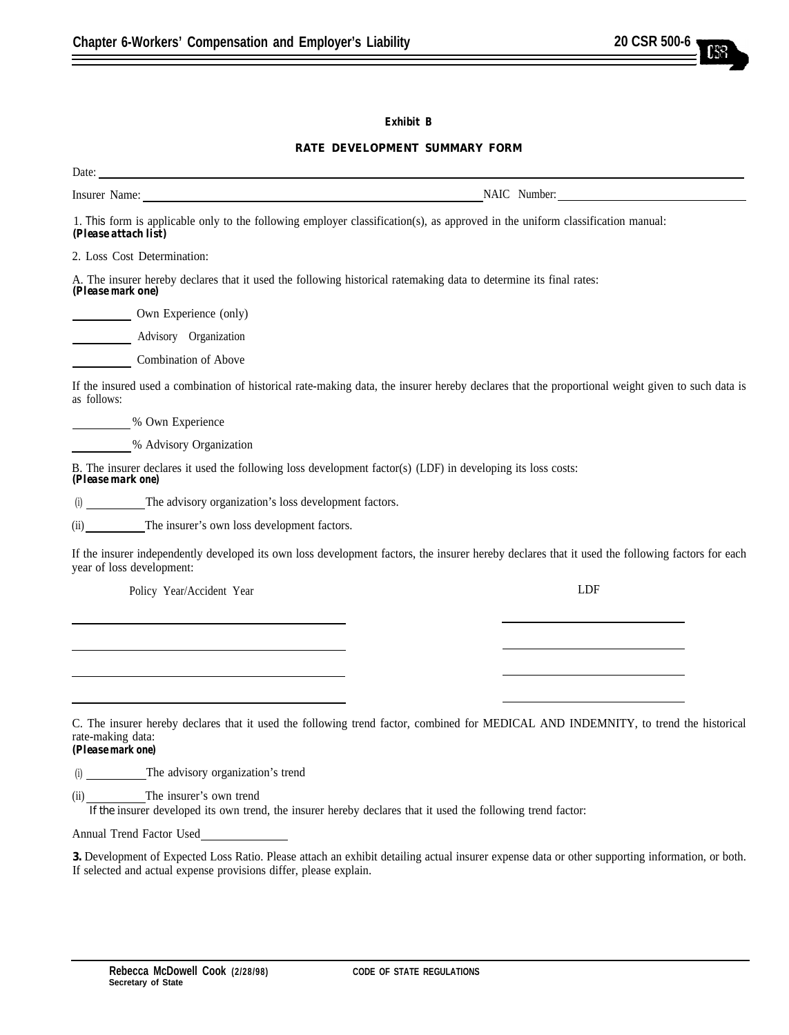## **Exhibit B**

## **RATE DEVELOPMENT SUMMARY FORM**

| Insurer Name: Name: Name: NAIC Number: NAIC Number:                                                                                              |
|--------------------------------------------------------------------------------------------------------------------------------------------------|
| 1. This form is applicable only to the following employer classification(s), as approved in the uniform classification manual:                   |
|                                                                                                                                                  |
| A. The insurer hereby declares that it used the following historical ratemaking data to determine its final rates:                               |
|                                                                                                                                                  |
|                                                                                                                                                  |
|                                                                                                                                                  |
| If the insured used a combination of historical rate-making data, the insurer hereby declares that the proportional weight given to such data is |
|                                                                                                                                                  |
|                                                                                                                                                  |
| B. The insurer declares it used the following loss development factor(s) (LDF) in developing its loss costs:                                     |
|                                                                                                                                                  |
|                                                                                                                                                  |
| If the insurer independently developed its own loss development factors, the insurer hereby declares that it used the following factors for each |
| <b>LDF</b>                                                                                                                                       |
|                                                                                                                                                  |
|                                                                                                                                                  |
|                                                                                                                                                  |
|                                                                                                                                                  |
|                                                                                                                                                  |
| C. The insurer hereby declares that it used the following trend factor, combined for MEDICAL AND INDEMNITY, to trend the historical              |
|                                                                                                                                                  |
|                                                                                                                                                  |
|                                                                                                                                                  |

If the insurer developed its own trend, the insurer hereby declares that it used the following trend factor:

Annual Trend Factor Used

**3.** Development of Expected Loss Ratio. Please attach an exhibit detailing actual insurer expense data or other supporting information, or both. If selected and actual expense provisions differ, please explain.